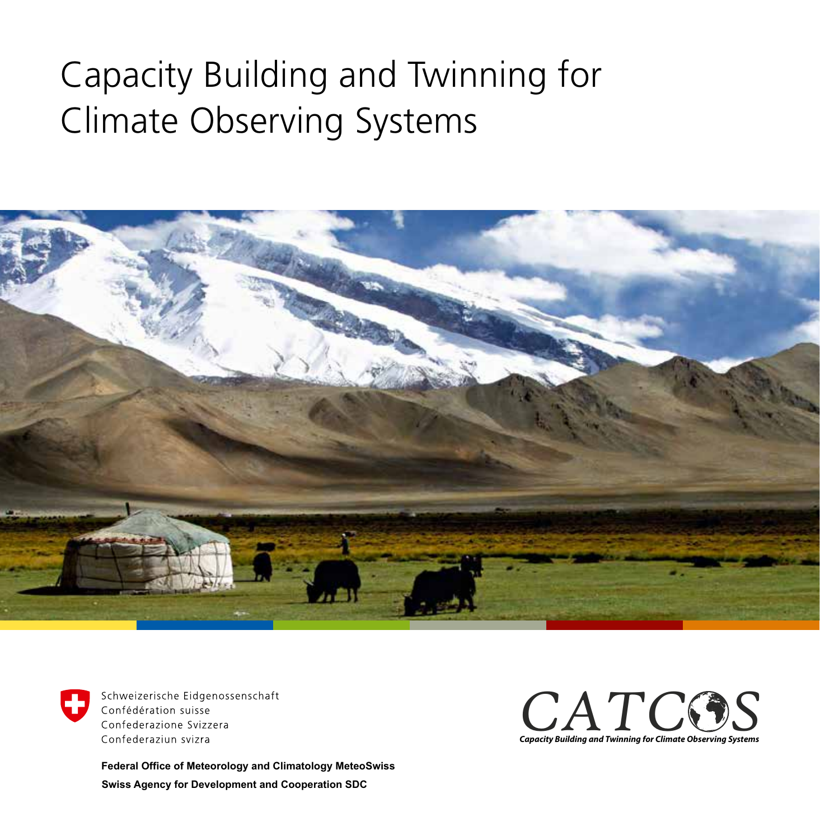## Capacity Building and Twinning for Climate Observing Systems





Schweizerische Eidgenossenschaft Confédération suisse Confederazione Svizzera Confederaziun svizra

**Swiss Agency for Development and Cooperation SDC Federal Office of Meteorology and Climatology MeteoSwiss**

*CATC CATCOS*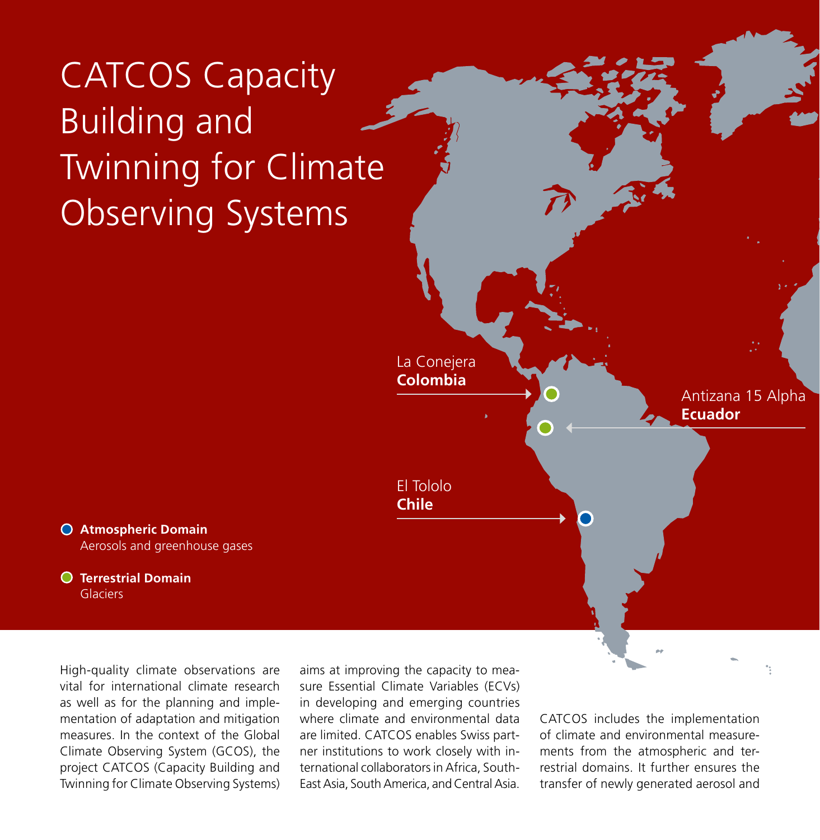CATCOS Capacity Building and Twinning for Climate Observing Systems



**Atmospheric Domain** Aerosols and greenhouse gases

**Terrestrial Domain**  Glaciers

High-quality climate observations are vital for international climate research as well as for the planning and implementation of adaptation and mitigation measures. In the context of the Global Climate Observing System (GCOS), the project CATCOS (Capacity Building and Twinning for Climate Observing Systems) aims at improving the capacity to measure Essential Climate Variables (ECVs) in developing and emerging countries where climate and environmental data are limited. CATCOS enables Swiss partner institutions to work closely with international collaborators in Africa, South-East Asia, South America, and Central Asia.

CATCOS includes the implementation of climate and environmental measurements from the atmospheric and terrestrial domains. It further ensures the transfer of newly generated aerosol and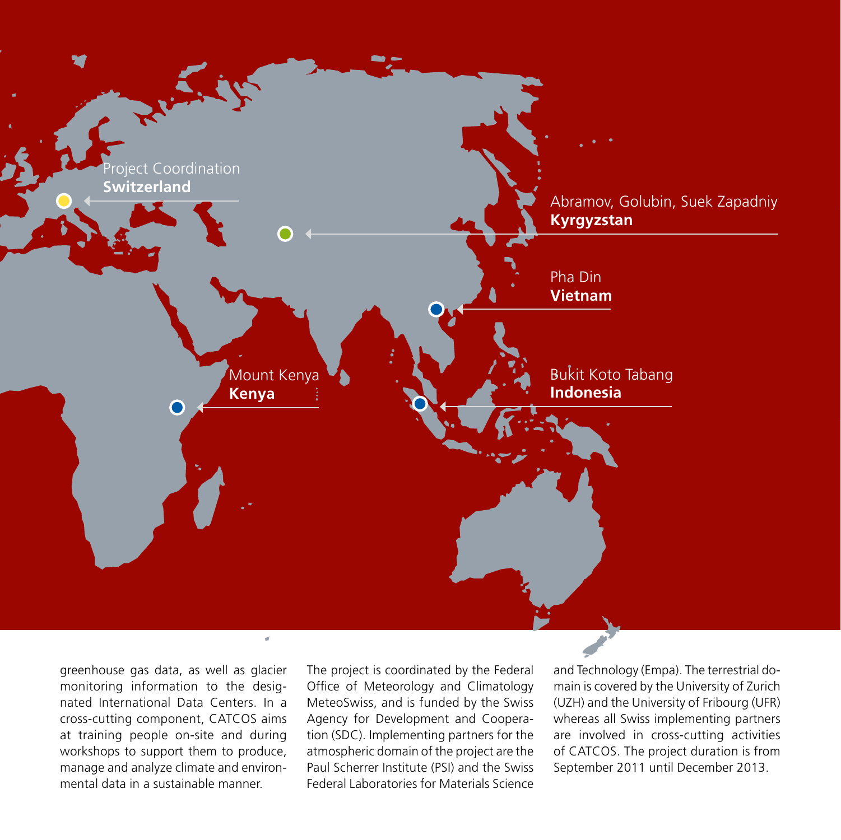

greenhouse gas data, as well as glacier monitoring information to the designated International Data Centers. In a cross-cutting component, CATCOS aims at training people on-site and during workshops to support them to produce, manage and analyze climate and environmental data in a sustainable manner.

The project is coordinated by the Federal Office of Meteorology and Climatology MeteoSwiss, and is funded by the Swiss Agency for Development and Cooperation (SDC). Implementing partners for the atmospheric domain of the project are the Paul Scherrer Institute (PSI) and the Swiss Federal Laboratories for Materials Science and Technology (Empa). The terrestrial domain is covered by the University of Zurich (UZH) and the University of Fribourg (UFR) whereas all Swiss implementing partners are involved in cross-cutting activities of CATCOS. The project duration is from September 2011 until December 2013.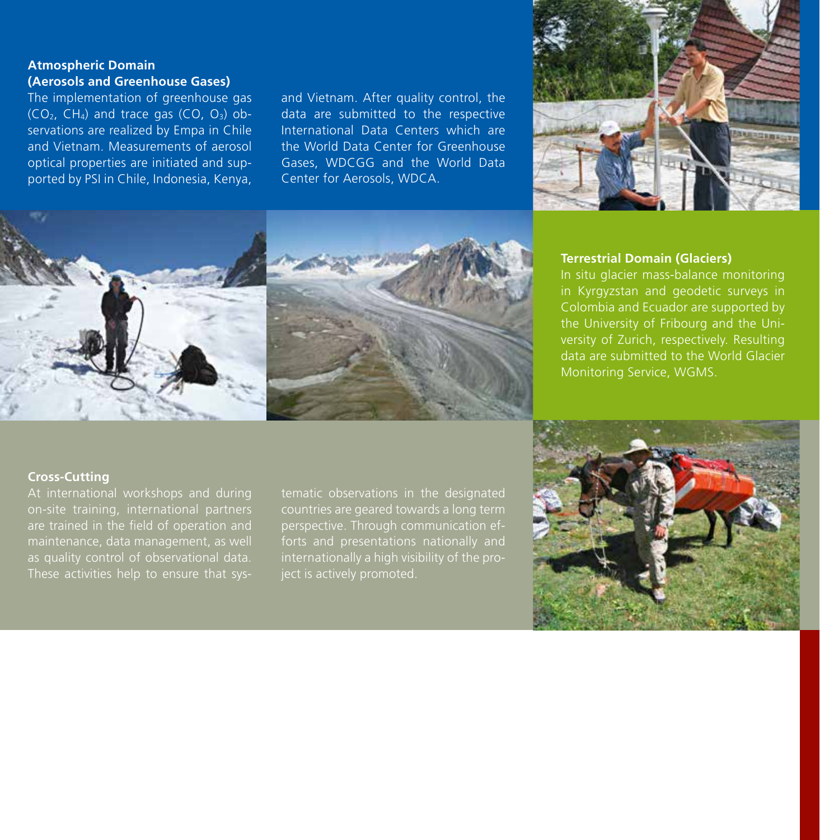### **Atmospheric Domain (Aerosols and Greenhouse Gases)**

The implementation of greenhouse gas  $(CO<sub>2</sub>, CH<sub>4</sub>)$  and trace gas  $(CO, O<sub>3</sub>)$  observations are realized by Empa in Chile and Vietnam. Measurements of aerosol optical properties are initiated and supported by PSI in Chile, Indonesia, Kenya, and Vietnam. After quality control, the data are submitted to the respective International Data Centers which are the World Data Center for Greenhouse Gases, WDCGG and the World Data Center for Aerosols, WDCA.





#### **Terrestrial Domain (Glaciers)**

In situ glacier mass-balance monitoring in Kyrgyzstan and geodetic surveys in Colombia and Ecuador are supported by the University of Fribourg and the University of Zurich, respectively. Resulting data are submitted to the World Glacier Monitoring Service, WGMS.

#### **Cross-Cutting**

At international workshops and during on-site training, international partners are trained in the field of operation and maintenance, data management, as well as quality control of observational data. These activities help to ensure that systematic observations in the designated countries are geared towards a long term forts and presentations nationally and ject is actively promoted.

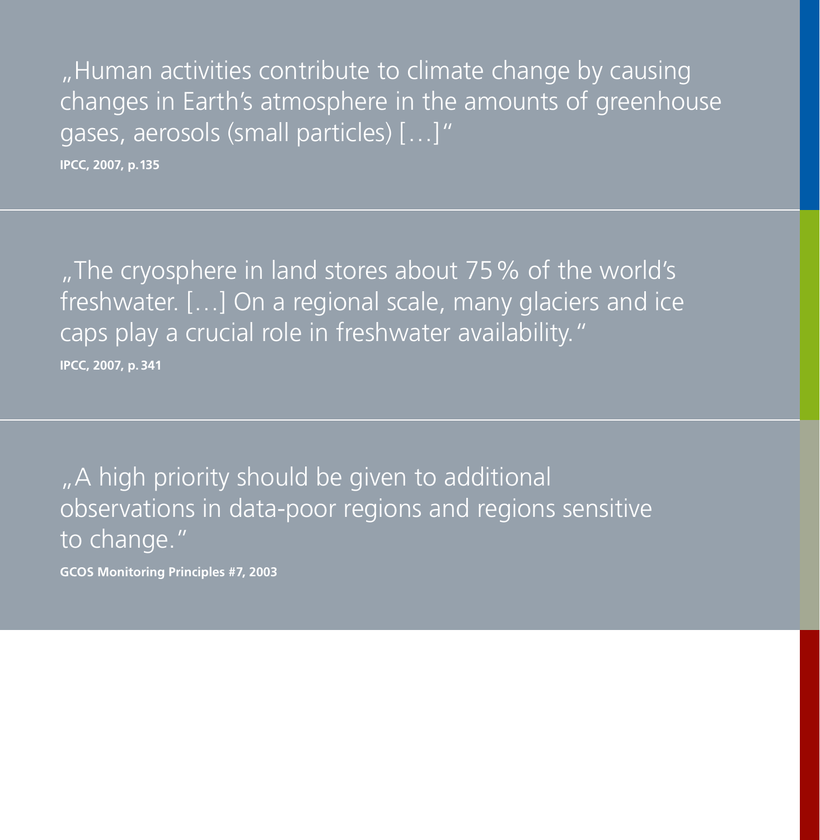"Human activities contribute to climate change by causing changes in Earth's atmosphere in the amounts of greenhouse gases, aerosols (small particles) […]"

**IPCC, 2007, p.135**

"The cryosphere in land stores about 75% of the world's freshwater. […] On a regional scale, many glaciers and ice caps play a crucial role in freshwater availability." **IPCC, 2007, p. 341**

"A high priority should be given to additional observations in data-poor regions and regions sensitive to change."

**GCOS Monitoring Principles #7, 2003**